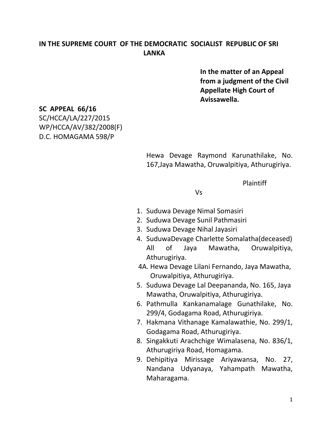# **IN THE SUPREME COURT OF THE DEMOCRATIC SOCIALIST REPUBLIC OF SRI LANKA**

 **In the matter of an Appeal from a judgment of the Civil Appellate High Court of Avissawella.**

#### **SC APPEAL 66/16**

SC/HCCA/LA/227/2015 WP/HCCA/AV/382/2008(F) D.C. HOMAGAMA 598/P

> Hewa Devage Raymond Karunathilake, No. 167,Jaya Mawatha, Oruwalpitiya, Athurugiriya.

> > Plaintiff

Vs

- 1. Suduwa Devage Nimal Somasiri
- 2. Suduwa Devage Sunil Pathmasiri
- 3. Suduwa Devage Nihal Jayasiri
- 4. SuduwaDevage Charlette Somalatha(deceased) All of Jaya Mawatha, Oruwalpitiya, Athurugiriya.
- 4A. Hewa Devage Lilani Fernando, Jaya Mawatha, Oruwalpitiya, Athurugiriya.
- 5. Suduwa Devage Lal Deepananda, No. 165, Jaya Mawatha, Oruwalpitiya, Athurugiriya.
- 6. Pathmulla Kankanamalage Gunathilake, No. 299/4, Godagama Road, Athurugiriya.
- 7. Hakmana Vithanage Kamalawathie, No. 299/1, Godagama Road, Athurugiriya.
- 8. Singakkuti Arachchige Wimalasena, No. 836/1, Athurugiriya Road, Homagama.
- 9. Dehipitiya Mirissage Ariyawansa, No. 27, Nandana Udyanaya, Yahampath Mawatha, Maharagama.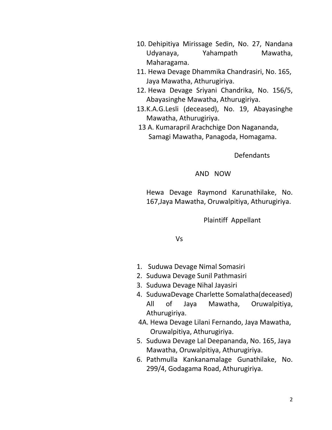- 10. Dehipitiya Mirissage Sedin, No. 27, Nandana Udyanaya, Yahampath Mawatha, Maharagama.
- 11. Hewa Devage Dhammika Chandrasiri, No. 165, Jaya Mawatha, Athurugiriya.
- 12. Hewa Devage Sriyani Chandrika, No. 156/5, Abayasinghe Mawatha, Athurugiriya.
- 13.K.A.G.Lesli (deceased), No. 19, Abayasinghe Mawatha, Athurugiriya.
- 13 A. Kumarapril Arachchige Don Nagananda, Samagi Mawatha, Panagoda, Homagama.

Defendants

AND NOW

Hewa Devage Raymond Karunathilake, No. 167,Jaya Mawatha, Oruwalpitiya, Athurugiriya.

Plaintiff Appellant

Vs

- 1. Suduwa Devage Nimal Somasiri
- 2. Suduwa Devage Sunil Pathmasiri
- 3. Suduwa Devage Nihal Jayasiri
- 4. SuduwaDevage Charlette Somalatha(deceased) All of Jaya Mawatha, Oruwalpitiya, Athurugiriya.
- 4A. Hewa Devage Lilani Fernando, Jaya Mawatha, Oruwalpitiya, Athurugiriya.
- 5. Suduwa Devage Lal Deepananda, No. 165, Jaya Mawatha, Oruwalpitiya, Athurugiriya.
- 6. Pathmulla Kankanamalage Gunathilake, No. 299/4, Godagama Road, Athurugiriya.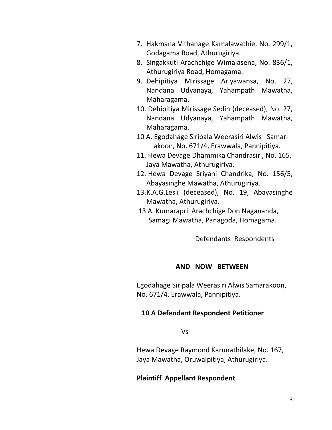- 7. Hakmana Vithanage Kamalawathie, No. 299/1, Godagama Road, Athurugiriya.
- 8. Singakkuti Arachchige Wimalasena, No. 836/1, Athurugiriya Road, Homagama.
- 9. Dehipitiya Mirissage Ariyawansa, No. 27, Nandana Udyanaya, Yahampath Mawatha, Maharagama.
- 10. Dehipitiya Mirissage Sedin (deceased), No. 27, Nandana Udyanaya, Yahampath Mawatha, Maharagama.
- 10 A. Egodahage Siripala Weerasiri Alwis Samar akoon, No. 671/4, Erawwala, Pannipitiya.
- 11. Hewa Devage Dhammika Chandrasiri, No. 165, Jaya Mawatha, Athurugiriya.
- 12. Hewa Devage Sriyani Chandrika, No. 156/5, Abayasinghe Mawatha, Athurugiriya.
- 13.K.A.G.Lesli (deceased), No. 19, Abayasinghe Mawatha, Athurugiriya.
- 13 A. Kumarapril Arachchige Don Nagananda, Samagi Mawatha, Panagoda, Homagama.

Defendants Respondents

### **AND NOW BETWEEN**

Egodahage Siripala Weerasiri Alwis Samarakoon, No. 671/4, Erawwala, Pannipitiya.

### **10 A Defendant Respondent Petitioner**

Vs

Hewa Devage Raymond Karunathilake, No. 167, Jaya Mawatha, Oruwalpitiya, Athurugiriya.

### **Plaintiff Appellant Respondent**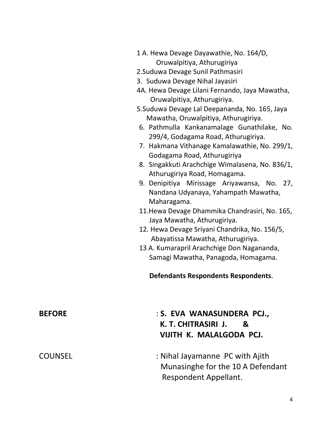- 1 A. Hewa Devage Dayawathie, No. 164/D, Oruwalpitiya, Athurugiriya
- 2.Suduwa Devage Sunil Pathmasiri
- 3. Suduwa Devage Nihal Jayasiri
- 4A. Hewa Devage Lilani Fernando, Jaya Mawatha, Oruwalpitiya, Athurugiriya.
- 5.Suduwa Devage Lal Deepananda, No. 165, Jaya Mawatha, Oruwalpitiya, Athurugiriya.
- 6. Pathmulla Kankanamalage Gunathilake, No. 299/4, Godagama Road, Athurugiriya.
- 7. Hakmana Vithanage Kamalawathie, No. 299/1, Godagama Road, Athurugiriya
- 8. Singakkuti Arachchige Wimalasena, No. 836/1, Athurugiriya Road, Homagama.
- 9. Denipitiya Mirissage Ariyawansa, No. 27, Nandana Udyanaya, Yahampath Mawatha, Maharagama.
- 11.Hewa Devage Dhammika Chandrasiri, No. 165, Jaya Mawatha, Athurugiriya.
- 12. Hewa Devage Sriyani Chandrika, No. 156/5, Abayatissa Mawatha, Athurugiriya.
- 13 A. Kumarapril Arachchige Don Nagananda, Samagi Mawatha, Panagoda, Homagama.

### **Defendants Respondents Respondents**.

| <b>BEFORE</b>  | : S. EVA WANASUNDERA PCJ.,<br>K. T. CHITRASIRI J.<br>$\mathbf{g}$<br>VIJITH K. MALALGODA PCJ. |
|----------------|-----------------------------------------------------------------------------------------------|
| <b>COUNSEL</b> | : Nihal Jayamanne PC with Ajith<br>Munasinghe for the 10 A Defendant                          |
|                | Respondent Appellant.                                                                         |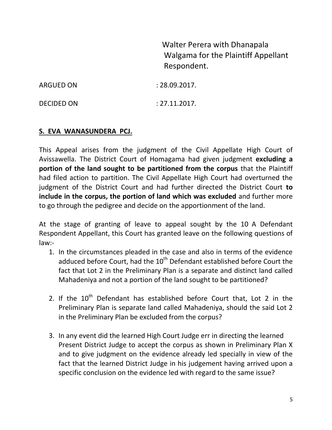Walter Perera with Dhanapala Walgama for the Plaintiff Appellant Respondent.

| ARGUED ON         | : 28.09.2017. |  |
|-------------------|---------------|--|
| <b>DECIDED ON</b> | : 27.11.2017. |  |

# **S. EVA WANASUNDERA PCJ.**

This Appeal arises from the judgment of the Civil Appellate High Court of Avissawella. The District Court of Homagama had given judgment **excluding a portion of the land sought to be partitioned from the corpus** that the Plaintiff had filed action to partition. The Civil Appellate High Court had overturned the judgment of the District Court and had further directed the District Court **to include in the corpus, the portion of land which was excluded** and further more to go through the pedigree and decide on the apportionment of the land.

At the stage of granting of leave to appeal sought by the 10 A Defendant Respondent Appellant, this Court has granted leave on the following questions of law:-

- 1. In the circumstances pleaded in the case and also in terms of the evidence adduced before Court, had the  $10<sup>th</sup>$  Defendant established before Court the fact that Lot 2 in the Preliminary Plan is a separate and distinct land called Mahadeniya and not a portion of the land sought to be partitioned?
- 2. If the  $10^{th}$  Defendant has established before Court that, Lot 2 in the Preliminary Plan is separate land called Mahadeniya, should the said Lot 2 in the Preliminary Plan be excluded from the corpus?
- 3. In any event did the learned High Court Judge err in directing the learned Present District Judge to accept the corpus as shown in Preliminary Plan X and to give judgment on the evidence already led specially in view of the fact that the learned District Judge in his judgement having arrived upon a specific conclusion on the evidence led with regard to the same issue?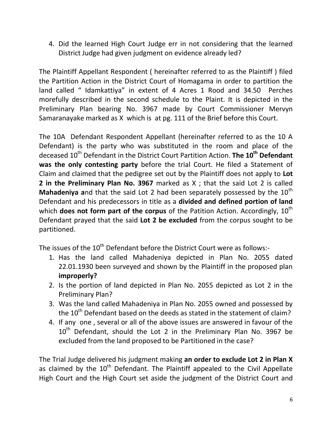4. Did the learned High Court Judge err in not considering that the learned District Judge had given judgment on evidence already led?

The Plaintiff Appellant Respondent ( hereinafter referred to as the Plaintiff ) filed the Partition Action in the District Court of Homagama in order to partition the land called " Idamkattiya" in extent of 4 Acres 1 Rood and 34.50 Perches morefully described in the second schedule to the Plaint. It is depicted in the Preliminary Plan bearing No. 3967 made by Court Commissioner Mervyn Samaranayake marked as X which is at pg. 111 of the Brief before this Court.

The 10A Defendant Respondent Appellant (hereinafter referred to as the 10 A Defendant) is the party who was substituted in the room and place of the deceased 10<sup>th</sup> Defendant in the District Court Partition Action. **The 10<sup>th</sup> Defendant was the only contesting party** before the trial Court. He filed a Statement of Claim and claimed that the pedigree set out by the Plaintiff does not apply to **Lot 2 in the Preliminary Plan No. 3967** marked as X ; that the said Lot 2 is called **Mahadeniya and that the said Lot 2 had been separately possessed by the 10<sup>th</sup>** Defendant and his predecessors in title as a **divided and defined portion of land** which **does not form part of the corpus** of the Patition Action. Accordingly, 10<sup>th</sup> Defendant prayed that the said **Lot 2 be excluded** from the corpus sought to be partitioned.

The issues of the 10<sup>th</sup> Defendant before the District Court were as follows:-

- 1. Has the land called Mahadeniya depicted in Plan No. 2055 dated 22.01.1930 been surveyed and shown by the Plaintiff in the proposed plan **improperly?**
- 2. Is the portion of land depicted in Plan No. 2055 depicted as Lot 2 in the Preliminary Plan?
- 3. Was the land called Mahadeniya in Plan No. 2055 owned and possessed by the  $10^{th}$  Defendant based on the deeds as stated in the statement of claim?
- 4. If any one , several or all of the above issues are answered in favour of the  $10<sup>th</sup>$  Defendant, should the Lot 2 in the Preliminary Plan No. 3967 be excluded from the land proposed to be Partitioned in the case?

The Trial Judge delivered his judgment making **an order to exclude Lot 2 in Plan X**  as claimed by the  $10<sup>th</sup>$  Defendant. The Plaintiff appealed to the Civil Appellate High Court and the High Court set aside the judgment of the District Court and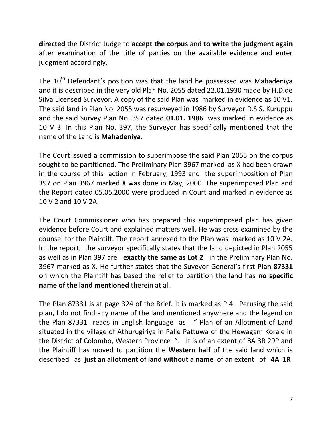**directed** the District Judge to **accept the corpus** and **to write the judgment again** after examination of the title of parties on the available evidence and enter judgment accordingly.

The  $10<sup>th</sup>$  Defendant's position was that the land he possessed was Mahadeniya and it is described in the very old Plan No. 2055 dated 22.01.1930 made by H.D.de Silva Licensed Surveyor. A copy of the said Plan was marked in evidence as 10 V1. The said land in Plan No. 2055 was resurveyed in 1986 by Surveyor D.S.S. Kuruppu and the said Survey Plan No. 397 dated **01.01. 1986** was marked in evidence as 10 V 3. In this Plan No. 397, the Surveyor has specifically mentioned that the name of the Land is **Mahadeniya.**

The Court issued a commission to superimpose the said Plan 2055 on the corpus sought to be partitioned. The Preliminary Plan 3967 marked as X had been drawn in the course of this action in February, 1993 and the superimposition of Plan 397 on Plan 3967 marked X was done in May, 2000. The superimposed Plan and the Report dated 05.05.2000 were produced in Court and marked in evidence as 10 V 2 and 10 V 2A.

The Court Commissioner who has prepared this superimposed plan has given evidence before Court and explained matters well. He was cross examined by the counsel for the Plaintiff. The report annexed to the Plan was marked as 10 V 2A. In the report, the surveyor specifically states that the land depicted in Plan 2055 as well as in Plan 397 are **exactly the same as Lot 2** in the Preliminary Plan No. 3967 marked as X. He further states that the Suveyor General's first **Plan 87331** on which the Plaintiff has based the relief to partition the land has **no specific name of the land mentioned** therein at all.

The Plan 87331 is at page 324 of the Brief. It is marked as P 4. Perusing the said plan, I do not find any name of the land mentioned anywhere and the legend on the Plan 87331 reads in English language as " Plan of an Allotment of Land situated in the village of Athurugiriya in Palle Pattuwa of the Hewagam Korale in the District of Colombo, Western Province ". It is of an extent of 8A 3R 29P and the Plaintiff has moved to partition the **Western half** of the said land which is described as **just an allotment of land without a name** of an extent of **4A 1R**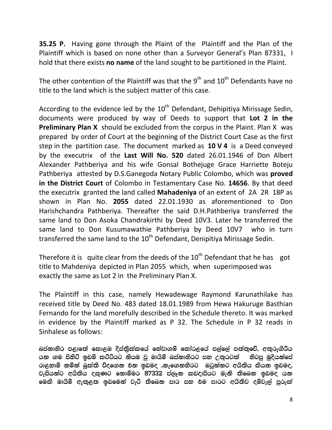**35.25 P.** Having gone through the Plaint of the Plaintiff and the Plan of the Plaintiff which is based on none other than a Surveyor General's Plan 87331, I hold that there exists **no name** of the land sought to be partitioned in the Plaint.

The other contention of the Plaintiff was that the  $9<sup>th</sup>$  and  $10<sup>th</sup>$  Defendants have no title to the land which is the subject matter of this case.

According to the evidence led by the  $10<sup>th</sup>$  Defendant, Dehipitiya Mirissage Sedin, documents were produced by way of Deeds to support that **Lot 2 in the Preliminary Plan X** should be excluded from the corpus in the Plaint. Plan X was prepared by order of Court at the beginning of the District Court Case as the first step in the partition case. The document marked as **10 V 4** is a Deed conveyed by the executrix of the **Last Will No. 520** dated 26.01.1946 of Don Albert Alexander Pathberiya and his wife Gonsal Bothejuge Grace Harriette Boteju Pathberiya attested by D.S.Ganegoda Notary Public Colombo, which was **proved in the District Court** of Colombo in Testamentary Case No. **14656**. By that deed the executrix granted the land called **Mahadeniya** of an extent of 2A 2R 18P as shown in Plan No. **2055** dated 22.01.1930 as aforementioned to Don Harishchandra Pathberiya. Thereafter the said D.H.Pathberiya transferred the same land to Don Asoka Chandrakirthi by Deed 10V3. Later he transferred the same land to Don Kusumawathie Pathberiya by Deed 10V7 who in turn transferred the same land to the  $10<sup>th</sup>$  Defendant, Denipitiva Mirissage Sedin.

Therefore it is quite clear from the deeds of the  $10<sup>th</sup>$  Defendant that he has got title to Mahdeniya depicted in Plan 2055 which, when superimposed was exactly the same as Lot 2 in the Preliminary Plan X.

The Plaintiff in this case, namely Hewadewage Raymond Karunathilake has received title by Deed No. 483 dated 18.01.1989 from Hewa Hakuruge Basthian Fernando for the land morefully described in the Schedule thereto. It was marked in evidence by the Plaintiff marked as P 32. The Schedule in P 32 reads in Sinhalese as follows:

බස්නාහිර පළාතේ කොළඔ දිස්තුික්කයේ හේවාගම් කෝරළයේ පල්ලේ පත්තුවේ, අතුරුගිරිය යන ගම පිහිටි ඉඩම් කට්ටියට නියම වූ මායිම් බස්නාහිරට සහ උතුරටත් හිටපු මුදියන්සේ රාළහාමි නමින් බුක්ති විදගෙන එන ඉඩමද ,නැගෙනහිරට ඔටුන්නට අයිතිය කියන ඉඩමද, වැසියන්ට අයිතිය දකුණට නොම්මර 87332 ප්ලෑන කඩදාසියට මැනි තිබෙන ඉඩමද යන මෙකි මායිම් ඇතුළත ඉඩමෙන් වැට් තිබෙන පාර සහ එම පාරට අයිතිව දම්වැල් පුරුක්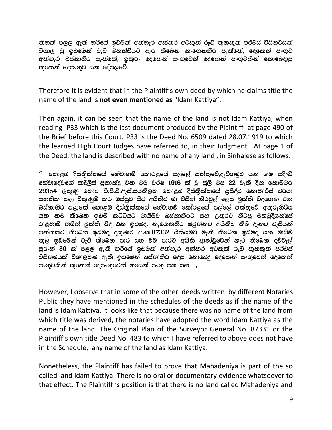තිහක් පලල ඇති හරීයේ ඉඩමක් අත්හැර අක්කර අටකුත් රූඩ් තුනකුත් පර්චස් විසිනවයක් විශාල වූ ඉඩමෙන් වැව් මහන්ඩියට ඇර තිබෙන නැගෙනහිර පැත්තේ, දෙකෙන් පංගුව අත්හැර බස්නාහිර පැත්තේ, ඉතුරු දෙකෙන් පංගුවෙන් දෙකෙන් පංගුවකින් නොබෙදාපු තුනෙන් දෙපංගුව යන දේපලවේ.

Therefore it is evident that in the Plaintiff's own deed by which he claims title the name of the land is **not even mentioned as** "Idam Kattiya".

Then again, it can be seen that the name of the land is not Idam Kattiya, when reading P33 which is the last document produced by the Plaintiff at page 490 of the Brief before this Court. P33 is the Deed No. 6509 dated 28.07.1919 to which the learned High Court Judges have referred to, in their Judgment. At page 1 of the Deed, the land is described with no name of any land , in Sinhalese as follows:

කොළඹ දිස්තුික්කයේ හේවාගම් කොරළයේ පල්ලේ පත්තුවේ,දැඩිගමුව යන ගම පදිංචි හේවාදේවගේ සාදිලිස් පුනාන්දු වන මම වර්ෂ 1916 ක් වු ජුලි මස 22 වැනි දින නොම්මර 29354 ලකුණු කොට ඩී.සි.ඩී.ඇස්.ජයතිලක කොළඹ දිස්තිුක්කයේ පුසිද්ධ නොතාරීස් වරයා සහතික කල විකුණුම් කර ඔප්පුව පිට අයිතිව මා විසින් නිරවුල් ලෙස බුක්ති විදගෙන එන බස්නාහිර පළාතේ කොළඹ දිස්තුික්කයේ හේවාගම් කෝරළයේ පල්ලේ පත්තුවේ අතුරුගිරිය යන නම තිබෙන ඉඩම් කට්ටියට මායිම්ව බස්නාහිරට සහ උතුරට හිටපු මහමුදියන්සේ රාළහාමි නමින් බුක්ති විද එන ඉඩමද, නැගෙනහිර ඔටුන්නට අයිතිව තිබී දැනට වැසියන් සන්තකව තිබෙන ඉඩමද දකුණට අංක.87332 සිතියමට මැනී තිබෙන ඉඩමද යන මායිම් තුල ඉඩමෙන් වැට් තිබෙන පාර සහ එම පාරට අයිති ආණ්ඩුවෙන් හැර තිබෙන දුම්වැල් පුරුක් 30 ක් පළල ඇති හරියේ ඉඩමක් අත්හැර අක්කර අටකුත් රුඩ් තුනකුත් පර්චස් විසිනමයක් විශාලකම ඇති ඉඩමෙන් බස්නාහිර දෙස නොඛෙදු දෙකෙන් පංගුවෙන් දෙකෙන් පංගුවකින් තුනෙන් දෙපංගුවෙන් හයෙන් පංගු පහ සහ ,

However, I observe that in some of the other deeds written by different Notaries Public they have mentioned in the schedules of the deeds as if the name of the land is Idam Kattiya. It looks like that because there was no name of the land from which title was derived, the notaries have adopted the word Idam Kattiya as the name of the land. The Original Plan of the Surveyor General No. 87331 or the Plaintiff's own title Deed No. 483 to which I have referred to above does not have in the Schedule, any name of the land as Idam Kattiya.

Nonetheless, the Plaintiff has failed to prove that Mahadeniya is part of the so called land Idam Kattiya. There is no oral or documentary evidence whatsoever to that effect. The Plaintiff 's position is that there is no land called Mahadeniya and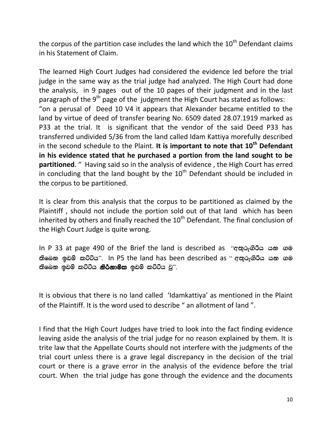the corpus of the partition case includes the land which the  $10<sup>th</sup>$  Defendant claims in his Statement of Claim.

The learned High Court Judges had considered the evidence led before the trial judge in the same way as the trial judge had analyzed. The High Court had done the analysis, in 9 pages out of the 10 pages of their judgment and in the last paragraph of the 9<sup>th</sup> page of the judgment the High Court has stated as follows: "on a perusal of Deed 10 V4 it appears that Alexander became entitled to the land by virtue of deed of transfer bearing No. 6509 dated 28.07.1919 marked as P33 at the trial. It is significant that the vendor of the said Deed P33 has transferred undivided 5/36 from the land called Idam Kattiya morefully described in the second schedule to the Plaint. **It is important to note that 10th Defendant in his evidence stated that he purchased a portion from the land sought to be partitioned**. " Having said so in the analysis of evidence , the High Court has erred in concluding that the land bought by the  $10<sup>th</sup>$  Defendant should be included in the corpus to be partitioned.

It is clear from this analysis that the corpus to be partitioned as claimed by the Plaintiff , should not include the portion sold out of that land which has been inherited by others and finally reached the  $10<sup>th</sup>$  Defendant. The final conclusion of the High Court Judge is quite wrong.

In P 33 at page 490 of the Brief the land is described as "අතුරුගිරීය යන ගම නිබෙන ඉඩම් කට්ටිය". In P5 the land has been described as " අනුරුගිරිය යන ගම නිබෙන ඉඩම් කට්ටිය **නිර්නාම්ක** ඉඩම් කට්ටිය වු".

It is obvious that there is no land called 'Idamkattiya' as mentioned in the Plaint of the Plaintiff. It is the word used to describe " an allotment of land ".

I find that the High Court Judges have tried to look into the fact finding evidence leaving aside the analysis of the trial judge for no reason explained by them. It is trite law that the Appellate Courts should not interfere with the judgments of the trial court unless there is a grave legal discrepancy in the decision of the trial court or there is a grave error in the analysis of the evidence before the trial court. When the trial judge has gone through the evidence and the documents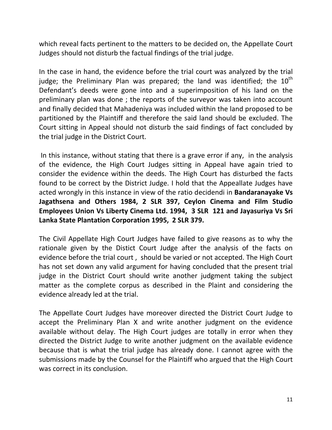which reveal facts pertinent to the matters to be decided on, the Appellate Court Judges should not disturb the factual findings of the trial judge.

In the case in hand, the evidence before the trial court was analyzed by the trial judge; the Preliminary Plan was prepared; the land was identified; the  $10<sup>th</sup>$ Defendant's deeds were gone into and a superimposition of his land on the preliminary plan was done ; the reports of the surveyor was taken into account and finally decided that Mahadeniya was included within the land proposed to be partitioned by the Plaintiff and therefore the said land should be excluded. The Court sitting in Appeal should not disturb the said findings of fact concluded by the trial judge in the District Court.

In this instance, without stating that there is a grave error if any, in the analysis of the evidence, the High Court Judges sitting in Appeal have again tried to consider the evidence within the deeds. The High Court has disturbed the facts found to be correct by the District Judge. I hold that the Appeallate Judges have acted wrongly in this instance in view of the ratio decidendi in **Bandaranayake Vs Jagathsena and Others 1984, 2 SLR 397, Ceylon Cinema and Film Studio Employees Union Vs Liberty Cinema Ltd. 1994, 3 SLR 121 and Jayasuriya Vs Sri Lanka State Plantation Corporation 1995, 2 SLR 379.**

The Civil Appellate High Court Judges have failed to give reasons as to why the rationale given by the Distict Court Judge after the analysis of the facts on evidence before the trial court , should be varied or not accepted. The High Court has not set down any valid argument for having concluded that the present trial judge in the District Court should write another judgment taking the subject matter as the complete corpus as described in the Plaint and considering the evidence already led at the trial.

The Appellate Court Judges have moreover directed the District Court Judge to accept the Preliminary Plan X and write another judgment on the evidence available without delay. The High Court judges are totally in error when they directed the District Judge to write another judgment on the available evidence because that is what the trial judge has already done. I cannot agree with the submissions made by the Counsel for the Plaintiff who argued that the High Court was correct in its conclusion.